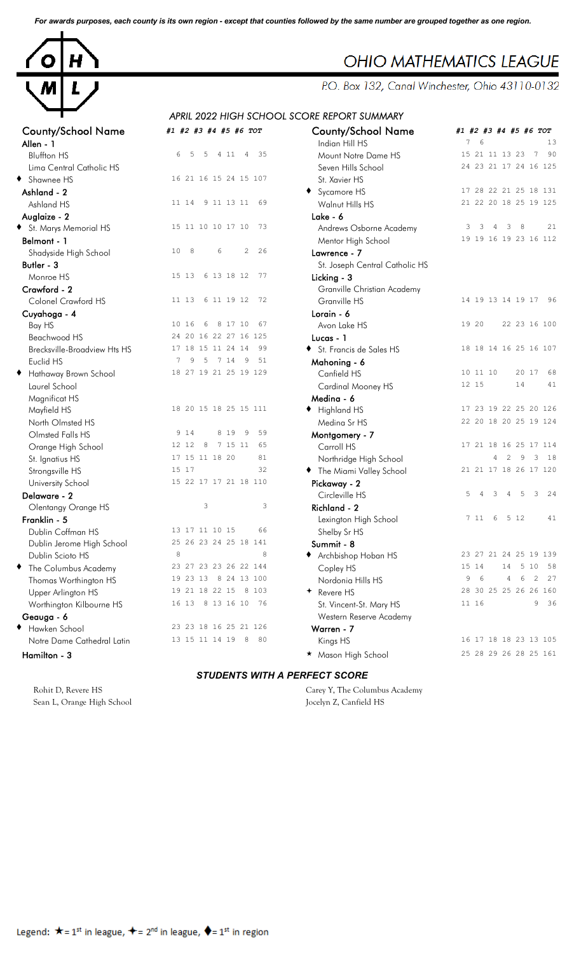*For awards purposes, each county is its own region - except that counties followed by the same number are grouped together as one region.*



| <b>County/School Name</b><br>Allen - 1 | #1 #2 #3 #4 #5 #6 TOT              | <b>County/School Name</b><br>Indian Hill HS | #1             |
|----------------------------------------|------------------------------------|---------------------------------------------|----------------|
| <b>Bluffton HS</b>                     | 6<br>5<br>5<br>35<br>4 1 1 4       | Mount Notre Dame HS                         | $\mathbf{1}$   |
| Lima Central Catholic HS               |                                    | Seven Hills School                          | $\overline{c}$ |
| ◆ Shawnee HS                           | 16 21 16 15 24 15 107              | St. Xavier HS                               |                |
| Ashland - 2                            |                                    | ◆ Sycamore HS                               | $\mathbf{1}$   |
| Ashland HS                             | 11 14<br>9 11 13 11<br>69          | Walnut Hills HS                             | $\overline{c}$ |
| Auglaize - 2                           |                                    | Lake - 6                                    |                |
| St. Marys Memorial HS                  | 15 11 10 10 17 10<br>73            | Andrews Osborne Academy                     |                |
| Belmont - 1                            |                                    | Mentor High School                          | $\mathbf{1}$   |
| Shadyside High School                  | 8<br>$\mathbf{2}$<br>26<br>10<br>6 | Lawrence - 7                                |                |
| Butler - 3                             |                                    | St. Joseph Central Catholic HS              |                |
| Monroe HS                              | 15 13<br>6 13 18 12<br>77          | Licking - 3                                 |                |
| Crawford - 2                           |                                    | Granville Christian Academy                 |                |
| Colonel Crawford HS                    | 11 13<br>6 11 19 12<br>72          | Granville HS                                | 1              |
| Cuyahoga - 4                           |                                    | Lorain - 6                                  |                |
| Bay HS                                 | 10 16<br>6<br>8 17 10<br>67        | Avon Lake HS                                | $\mathbf{1}$   |
| Beachwood HS                           | 24 20 16 22 27 16 125              | Lucas - 1                                   |                |
| <b>Brecksville-Broadview Hts HS</b>    | 17 18 15 11 24 14<br>99            | St. Francis de Sales HS                     | $\mathbf{1}$   |
| Euclid HS                              | 9<br>5<br>51<br>7<br>7 14<br>9     | Mahoning - 6                                |                |
| Hathaway Brown School                  | 18 27 19 21 25 19 129              | Canfield HS                                 | $\mathbf{1}$   |
| Laurel School                          |                                    | Cardinal Mooney HS                          | $\mathbf{1}$   |
| Magnificat HS                          |                                    | Medina - 6                                  |                |
| Mayfield HS                            | 18 20 15 18 25 15 111              | Highland HS                                 | $\mathbf{1}$   |
| North Olmsted HS                       |                                    | Medina Sr HS                                | $\overline{c}$ |
| Olmsted Falls HS                       | 8 1 9<br>9 1 4<br>9<br>59          | Montgomery - 7                              |                |
| Orange High School                     | 12 12<br>7 15 11<br>65<br>8        | Carroll HS                                  | $\mathbf{1}$   |
| St. Ignatius HS                        | 17 15 11 18 20<br>81               | Northridge High School                      |                |
| Strongsville HS                        | 15 17<br>32                        | The Miami Valley School                     | $\overline{c}$ |
| University School                      | 15 22 17 17 21 18 110              | Pickaway - 2                                |                |
| Delaware - 2                           |                                    | Circleville HS                              |                |
| Olentangy Orange HS                    | 3<br>3                             | Richland - 2                                |                |
| Franklin - 5                           |                                    | Lexington High School                       |                |
| Dublin Coffman HS                      | 13 17 11 10 15<br>66               | Shelby Sr HS                                |                |
| Dublin Jerome High School              | 25 26 23 24 25 18 141              | Summit - 8                                  |                |
| Dublin Scioto HS                       | 8<br>8                             | Archbishop Hoban HS                         | 2              |
| The Columbus Academy                   | 23 27 23 23 26 22 144              | Copley HS                                   | 1              |
| Thomas Worthington HS                  | 19 23 13<br>24 13 100<br>8         | Nordonia Hills HS                           |                |
| Upper Arlington HS                     | 8 1 0 3<br>19 21 18 22 15          | Revere HS                                   | 2              |
| Worthington Kilbourne HS               | 16 13<br>8 13 16 10<br>76          | St. Vincent-St. Mary HS                     | 1              |
| Geauga - 6                             |                                    | Western Reserve Academy                     |                |
| Hawken School                          | 23 23 18 16 25 21 126              | Warren - 7                                  |                |
| Notre Dame Cathedral Latin             | 80<br>13 15 11 14 19<br>8          | Kings HS                                    | 1              |
|                                        |                                    |                                             |                |

|                                     |                                              | <u>AFRIL 2022 HIGH SCHOOL SCORE REFORT SUMMART</u> |                                                                  |
|-------------------------------------|----------------------------------------------|----------------------------------------------------|------------------------------------------------------------------|
| <b>County/School Name</b>           | #1 #2 #3 #4 #5 #6 TOT                        | <b>County/School Name</b>                          | #1 #2 #3 #4 #5 #6 TOT                                            |
| Allen - 1                           |                                              | Indian Hill HS                                     | $\epsilon$<br>7<br>13                                            |
| <b>Bluffton HS</b>                  | 6<br>35<br>5<br>-5<br>4 11<br>$\overline{4}$ | Mount Notre Dame HS                                | 90<br>15 21 11 13 23<br>$7\phantom{.0}$                          |
| Lima Central Catholic HS            |                                              | Seven Hills School                                 | 24 23 21 17 24 16 125                                            |
| ◆ Shawnee HS                        | 16 21 16 15 24 15 107                        | St. Xavier HS                                      |                                                                  |
| Ashland - 2                         |                                              | Sycamore HS                                        | 17 28 22 21 25 18 131                                            |
| Ashland HS                          | 11 14<br>9 11 13 11 69                       | Walnut Hills HS                                    | 21 22 20 18 25 19 125                                            |
| Auglaize - 2                        |                                              | Lake - 6                                           |                                                                  |
| St. Marys Memorial HS               | 15 11 10 10 17 10 73                         | Andrews Osborne Academy                            | 3<br>$\overline{\mathbf{3}}$<br>$\overline{4}$<br>3<br>- 8<br>21 |
| Belmont - 1                         |                                              | Mentor High School                                 | 19 19 16 19 23 16 112                                            |
| Shadyside High School               | 10<br>8<br>2<br>26<br>6                      | Lawrence - 7                                       |                                                                  |
| Butler - 3                          |                                              | St. Joseph Central Catholic HS                     |                                                                  |
| Monroe HS                           | 6 13 18 12<br>77<br>15 13                    | Licking - 3                                        |                                                                  |
| Crawford - 2                        |                                              | Granville Christian Academy                        |                                                                  |
| Colonel Crawford HS                 | 11 13<br>6 11 19 12<br>72                    | Granville HS                                       | 14 19 13 14 19 17 96                                             |
| Cuyahoga - 4                        |                                              | Lorain - 6                                         |                                                                  |
| Bay HS                              | 10 16<br>8 17 10<br>67<br>- 6                | Avon Lake HS                                       | 19 20<br>22 23 16 100                                            |
| Beachwood HS                        | 24 20 16 22 27 16 125                        | Lucas - 1                                          |                                                                  |
| <b>Brecksville-Broadview Hts HS</b> | 17 18 15 11 24 14<br>99                      | St. Francis de Sales HS                            | 18 18 14 16 25 16 107                                            |
| Euclid HS                           | 5<br>7 14 9<br>51<br>9<br>7                  | Mahoning - 6                                       |                                                                  |
| Hathaway Brown School<br>٠          | 18 27 19 21 25 19 129                        | Canfield HS                                        | 10 11 10<br>20 17<br>68                                          |
| Laurel School                       |                                              | Cardinal Mooney HS                                 | 12 15<br>14<br>41                                                |
| Magnificat HS                       |                                              | Medina - 6                                         |                                                                  |
| Mayfield HS                         | 18 20 15 18 25 15 111                        | + Highland HS                                      | 17 23 19 22 25 20 126                                            |
| North Olmsted HS                    |                                              | Medina Sr HS                                       | 22 20 18 20 25 19 124                                            |
| Olmsted Falls HS                    | 9 1 4<br>8 1 9<br>9<br>59                    | Montgomery - 7                                     |                                                                  |
| Orange High School                  | 8<br>12 12<br>7 15 11<br>65                  | Carroll HS                                         | 17 21 18 16 25 17 114                                            |
| St. Ignatius HS                     | 17 15 11 18 20<br>81                         | Northridge High School                             | 2<br>9<br>3<br>18<br>4                                           |
| Strongsville HS                     | 15 17<br>32                                  | The Miami Valley School                            | 21 21 17 18 26 17 120                                            |
| University School                   | 15 22 17 17 21 18 110                        | Pickaway - 2                                       |                                                                  |
| Delaware - 2                        |                                              | Circleville HS                                     | 5<br>5<br>3<br>24<br>4<br>-3<br>$\overline{4}$                   |
| <b>Olentangy Orange HS</b>          | $\mathsf 3$<br>3                             | Richland - 2                                       |                                                                  |
| Franklin - 5                        |                                              | Lexington High School                              | 5 12<br>41<br>7 11<br>- 6                                        |
| Dublin Coffman HS                   | 13 17 11 10 15<br>66                         | Shelby Sr HS                                       |                                                                  |
| Dublin Jerome High School           | 25 26 23 24 25 18 141                        | Summit - 8                                         |                                                                  |
| Dublin Scioto HS                    | 8<br>8                                       | Archbishop Hoban HS                                | 23 27 21 24 25 19 139                                            |
| The Columbus Academy<br>٠           | 23 27 23 23 26 22 144                        | Copley HS                                          | 15 14<br>14 5 10<br>58                                           |
| Thomas Worthington HS               | 19 23 13 8 24 13 100                         | Nordonia Hills HS                                  | 9<br>6<br>4<br>6<br>2<br>27                                      |
| Upper Arlington HS                  | 19 21 18 22 15<br>8 1 0 3                    | + Revere HS                                        | 28 30 25 25 26 26 160                                            |
| Worthington Kilbourne HS            | 16 13 8 13 16 10 76                          | St. Vincent-St. Mary HS                            | 11 16<br>36<br>9                                                 |
| Geauga - 6                          |                                              | Western Reserve Academy                            |                                                                  |
| + Hawken School                     | 23 23 18 16 25 21 126                        | Warren - 7                                         |                                                                  |
| Notre Dame Cathedral Latin          | 13 15 11 14 19 8<br>80                       | Kings HS                                           | 16 17 18 18 23 13 105                                            |
| Hamilton - 3                        |                                              | ★ Mason High School                                | 25 28 29 26 28 25 161                                            |
|                                     |                                              |                                                    |                                                                  |

## *STUDENTS WITH A PERFECT SCORE*

Sean L, Orange High School Jocelyn Z, Canfield HS

Rohit D, Revere HS Carey Y, The Columbus Academy

P.O. Box 132, Canal Winchester, Ohio 43110-0132

## *APRIL 2022 HIGH SCHOOL SCORE REPORT SUMMARY*